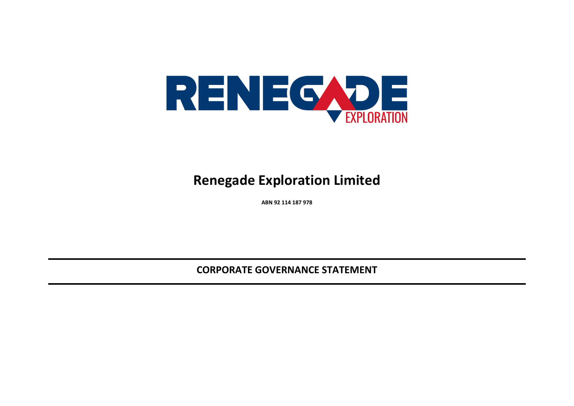

## **Renegade Exploration Limited**

**ABN 92 114 187 978**

**CORPORATE GOVERNANCE STATEMENT**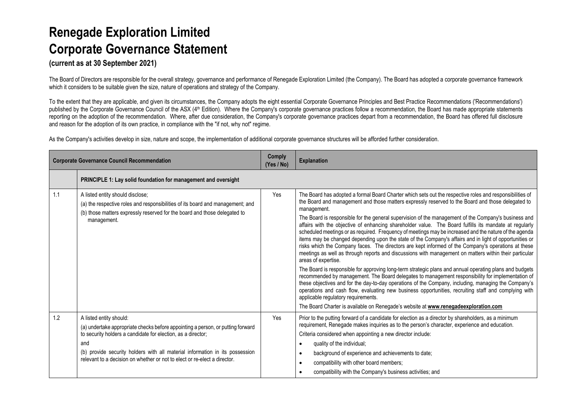# **Renegade Exploration Limited Corporate Governance Statement**

**(current as at 30 September 2021)**

The Board of Directors are responsible for the overall strategy, governance and performance of Renegade Exploration Limited (the Company). The Board has adopted a corporate governance framework which it considers to be suitable given the size, nature of operations and strategy of the Company.

To the extent that they are applicable, and given its circumstances, the Company adopts the eight essential Corporate Governance Principles and Best Practice Recommendations ('Recommendations') published by the Corporate Governance Council of the ASX (4<sup>th</sup> Edition). Where the Company's corporate governance practices follow a recommendation, the Board has made appropriate statements reporting on the adoption of the recommendation. Where, after due consideration, the Company's corporate governance practices depart from a recommendation, the Board has offered full disclosure and reason for the adoption of its own practice, in compliance with the "if not, why not" regime.

As the Company's activities develop in size, nature and scope, the implementation of additional corporate governance structures will be afforded further consideration.

|     | <b>Corporate Governance Council Recommendation</b>                                                                                                                                                                                                                                                                                             | <b>Comply</b><br>(Yes / No) | <b>Explanation</b>                                                                                                                                                                                                                                                                                                                                                                                                                                                                                                                                                                                                                                                                                                                                                                                                                                                                                                                                                                                                                                                                                                                                                                                                                                                                                                                                                                                                                                                        |
|-----|------------------------------------------------------------------------------------------------------------------------------------------------------------------------------------------------------------------------------------------------------------------------------------------------------------------------------------------------|-----------------------------|---------------------------------------------------------------------------------------------------------------------------------------------------------------------------------------------------------------------------------------------------------------------------------------------------------------------------------------------------------------------------------------------------------------------------------------------------------------------------------------------------------------------------------------------------------------------------------------------------------------------------------------------------------------------------------------------------------------------------------------------------------------------------------------------------------------------------------------------------------------------------------------------------------------------------------------------------------------------------------------------------------------------------------------------------------------------------------------------------------------------------------------------------------------------------------------------------------------------------------------------------------------------------------------------------------------------------------------------------------------------------------------------------------------------------------------------------------------------------|
|     | PRINCIPLE 1: Lay solid foundation for management and oversight                                                                                                                                                                                                                                                                                 |                             |                                                                                                                                                                                                                                                                                                                                                                                                                                                                                                                                                                                                                                                                                                                                                                                                                                                                                                                                                                                                                                                                                                                                                                                                                                                                                                                                                                                                                                                                           |
| 1.1 | A listed entity should disclose;<br>(a) the respective roles and responsibilities of its board and management; and<br>(b) those matters expressly reserved for the board and those delegated to<br>management.                                                                                                                                 | Yes                         | The Board has adopted a formal Board Charter which sets out the respective roles and responsibilities of<br>the Board and management and those matters expressly reserved to the Board and those delegated to<br>management.<br>The Board is responsible for the general supervision of the management of the Company's business and<br>affairs with the objective of enhancing shareholder value. The Board fulfills its mandate at regularly<br>scheduled meetings or as required. Frequency of meetings may be increased and the nature of the agenda<br>items may be changed depending upon the state of the Company's affairs and in light of opportunities or<br>risks which the Company faces. The directors are kept informed of the Company's operations at these<br>meetings as well as through reports and discussions with management on matters within their particular<br>areas of expertise.<br>The Board is responsible for approving long-term strategic plans and annual operating plans and budgets<br>recommended by management. The Board delegates to management responsibility for implementation of<br>these objectives and for the day-to-day operations of the Company, including, managing the Company's<br>operations and cash flow, evaluating new business opportunities, recruiting staff and complying with<br>applicable regulatory requirements.<br>The Board Charter is available on Renegade's website at www.renegadeexploration.com |
| 1.2 | A listed entity should:<br>(a) undertake appropriate checks before appointing a person, or putting forward<br>to security holders a candidate for election, as a director;<br>and<br>(b) provide security holders with all material information in its possession<br>relevant to a decision on whether or not to elect or re-elect a director. | Yes                         | Prior to the putting forward of a candidate for election as a director by shareholders, as a minimum<br>requirement, Renegade makes inquiries as to the person's character, experience and education.<br>Criteria considered when appointing a new director include:<br>quality of the individual;<br>٠<br>background of experience and achievements to date;<br>$\bullet$<br>compatibility with other board members;<br>$\bullet$<br>compatibility with the Company's business activities; and<br>$\bullet$                                                                                                                                                                                                                                                                                                                                                                                                                                                                                                                                                                                                                                                                                                                                                                                                                                                                                                                                                              |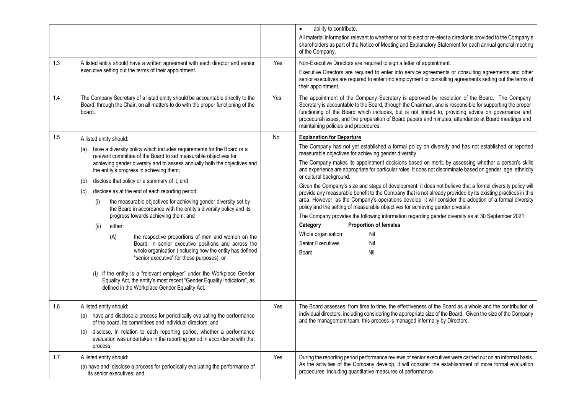| 1.3<br>1.4 | A listed entity should have a written agreement with each director and senior<br>executive setting out the terms of their appointment.<br>The Company Secretary of a listed entity should be accountable directly to the                                                                                                                                                                                                                                                                                                                                                                                                                                                                                                                                                                                                                                                                                                                                                                                                                                             | Yes<br>Yes | ability to contribute.<br>$\bullet$<br>All material information relevant to whether or not to elect or re-elect a director is provided to the Company's<br>shareholders as part of the Notice of Meeting and Explanatory Statement for each annual general meeting<br>of the Company.<br>Non-Executive Directors are required to sign a letter of appointment.<br>Executive Directors are required to enter into service agreements or consulting agreements and other<br>senior executives are required to enter into employment or consulting agreements setting out the terms of<br>their appointment.<br>The appointment of the Company Secretary is approved by resolution of the Board. The Company                                                                                                                                                                                                                                                                                                                                                                                                         |
|------------|----------------------------------------------------------------------------------------------------------------------------------------------------------------------------------------------------------------------------------------------------------------------------------------------------------------------------------------------------------------------------------------------------------------------------------------------------------------------------------------------------------------------------------------------------------------------------------------------------------------------------------------------------------------------------------------------------------------------------------------------------------------------------------------------------------------------------------------------------------------------------------------------------------------------------------------------------------------------------------------------------------------------------------------------------------------------|------------|-------------------------------------------------------------------------------------------------------------------------------------------------------------------------------------------------------------------------------------------------------------------------------------------------------------------------------------------------------------------------------------------------------------------------------------------------------------------------------------------------------------------------------------------------------------------------------------------------------------------------------------------------------------------------------------------------------------------------------------------------------------------------------------------------------------------------------------------------------------------------------------------------------------------------------------------------------------------------------------------------------------------------------------------------------------------------------------------------------------------|
|            | Board, through the Chair, on all matters to do with the proper functioning of the<br>board.                                                                                                                                                                                                                                                                                                                                                                                                                                                                                                                                                                                                                                                                                                                                                                                                                                                                                                                                                                          |            | Secretary is accountable to the Board, through the Chairman, and is responsible for supporting the proper<br>functioning of the Board which includes, but is not limited to, providing advice on governance and<br>procedural issues, and the preparation of Board papers and minutes, attendance at Board meetings and<br>maintaining policies and procedures.                                                                                                                                                                                                                                                                                                                                                                                                                                                                                                                                                                                                                                                                                                                                                   |
| 1.5        | A listed entity should:<br>have a diversity policy which includes requirements for the Board or a<br>(a)<br>relevant committee of the Board to set measurable objectives for<br>achieving gender diversity and to assess annually both the objectives and<br>the entity's progress in achieving them;<br>disclose that policy or a summary of it; and<br>(b)<br>disclose as at the end of each reporting period:<br>(c)<br>the measurable objectives for achieving gender diversity set by<br>(i)<br>the Board in accordance with the entity's diversity policy and its<br>progress towards achieving them; and<br>(ii)<br>either:<br>(A)<br>the respective proportions of men and women on the<br>Board, in senior executive positions and across the<br>whole organisation (including how the entity has defined<br>"senior executive" for these purposes); or<br>(i) if the entity is a "relevant employer" under the Workplace Gender<br>Equality Act, the entity's most recent "Gender Equality Indicators", as<br>defined in the Workplace Gender Equality Act | <b>No</b>  | <b>Explanation for Departure</b><br>The Company has not yet established a formal policy on diversity and has not established or reported<br>measurable objectives for achieving gender diversity.<br>The Company makes its appointment decisions based on merit, by assessing whether a person's skills<br>and experience are appropriate for particular roles. It does not discriminate based on gender, age, ethnicity<br>or cultural background.<br>Given the Company's size and stage of development, it does not believe that a formal diversity policy will<br>provide any measurable benefit to the Company that is not already provided by its existing practices in this<br>area. However, as the Company's operations develop, it will consider the adoption of a formal diversity<br>policy and the setting of measurable objectives for achieving gender diversity.<br>The Company provides the following information regarding gender diversity as at 30 September 2021:<br><b>Proportion of females</b><br>Category<br>Whole organisation<br>Nil<br>Nil<br><b>Senior Executives</b><br>Nil<br>Board |
| 1.6        | A listed entity should:<br>have and disclose a process for periodically evaluating the performance<br>(a)<br>of the board, its committees and individual directors; and<br>disclose, in relation to each reporting period, whether a performance<br>(b)<br>evaluation was undertaken in the reporting period in accordance with that<br>process.                                                                                                                                                                                                                                                                                                                                                                                                                                                                                                                                                                                                                                                                                                                     | Yes        | The Board assesses, from time to time, the effectiveness of the Board as a whole and the contribution of<br>individual directors, including considering the appropriate size of the Board. Given the size of the Company<br>and the management team, this process is managed informally by Directors.                                                                                                                                                                                                                                                                                                                                                                                                                                                                                                                                                                                                                                                                                                                                                                                                             |
| 1.7        | A listed entity should:<br>(a) have and disclose a process for periodically evaluating the performance of<br>its senior executives; and                                                                                                                                                                                                                                                                                                                                                                                                                                                                                                                                                                                                                                                                                                                                                                                                                                                                                                                              | Yes        | During the reporting period performance reviews of senior executives were carried out on an informal basis.<br>As the activities of the Company develop, it will consider the establishment of more formal evaluation<br>procedures, including quantitative measures of performance.                                                                                                                                                                                                                                                                                                                                                                                                                                                                                                                                                                                                                                                                                                                                                                                                                              |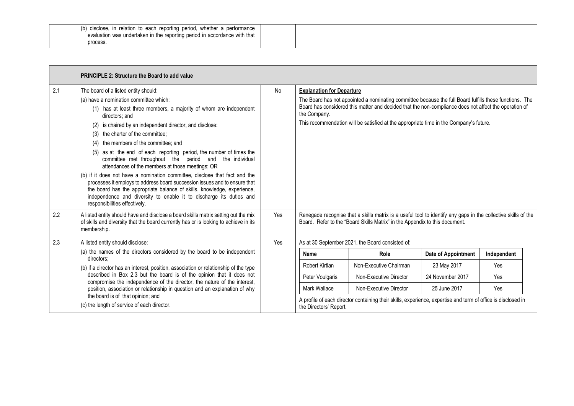| (b)<br>disclose, in relation to each reporting period, whether a performance |  |
|------------------------------------------------------------------------------|--|
| evaluation was undertaken in the reporting period in accordance with that    |  |
| process.                                                                     |  |

|     | <b>PRINCIPLE 2: Structure the Board to add value</b>                                                                                                                                                                                                                                                                                                                                                                                                                                                                                                                                                                                                                                                                                                                                                                                                             |     |                                                  |                                                                                                                                                                                                                                                                                                            |                     |             |
|-----|------------------------------------------------------------------------------------------------------------------------------------------------------------------------------------------------------------------------------------------------------------------------------------------------------------------------------------------------------------------------------------------------------------------------------------------------------------------------------------------------------------------------------------------------------------------------------------------------------------------------------------------------------------------------------------------------------------------------------------------------------------------------------------------------------------------------------------------------------------------|-----|--------------------------------------------------|------------------------------------------------------------------------------------------------------------------------------------------------------------------------------------------------------------------------------------------------------------------------------------------------------------|---------------------|-------------|
| 2.1 | The board of a listed entity should:<br>(a) have a nomination committee which:<br>(1) has at least three members, a majority of whom are independent<br>directors: and<br>is chaired by an independent director, and disclose:<br>(2)<br>the charter of the committee;<br>(3)<br>the members of the committee; and<br>(4)<br>(5) as at the end of each reporting period, the number of times the<br>committee met throughout the period and<br>the individual<br>attendances of the members at those meetings; OR<br>(b) if it does not have a nomination committee, disclose that fact and the<br>processes it employs to address board succession issues and to ensure that<br>the board has the appropriate balance of skills, knowledge, experience,<br>independence and diversity to enable it to discharge its duties and<br>responsibilities effectively. | No  | <b>Explanation for Departure</b><br>the Company. | The Board has not appointed a nominating committee because the full Board fulfills these functions. The<br>Board has considered this matter and decided that the non-compliance does not affect the operation of<br>This recommendation will be satisfied at the appropriate time in the Company's future. |                     |             |
| 2.2 | A listed entity should have and disclose a board skills matrix setting out the mix<br>of skills and diversity that the board currently has or is looking to achieve in its<br>membership.                                                                                                                                                                                                                                                                                                                                                                                                                                                                                                                                                                                                                                                                        | Yes |                                                  | Renegade recognise that a skills matrix is a useful tool to identify any gaps in the collective skills of the<br>Board. Refer to the "Board Skills Matrix" in the Appendix to this document.                                                                                                               |                     |             |
| 2.3 | A listed entity should disclose:                                                                                                                                                                                                                                                                                                                                                                                                                                                                                                                                                                                                                                                                                                                                                                                                                                 | Yes |                                                  | As at 30 September 2021, the Board consisted of:                                                                                                                                                                                                                                                           |                     |             |
|     | (a) the names of the directors considered by the board to be independent<br>directors:                                                                                                                                                                                                                                                                                                                                                                                                                                                                                                                                                                                                                                                                                                                                                                           |     | Name                                             | Role                                                                                                                                                                                                                                                                                                       | Date of Appointment | Independent |
|     | (b) if a director has an interest, position, association or relationship of the type<br>described in Box 2.3 but the board is of the opinion that it does not<br>compromise the independence of the director, the nature of the interest,<br>position, association or relationship in question and an explanation of why<br>the board is of that opinion; and<br>(c) the length of service of each director.                                                                                                                                                                                                                                                                                                                                                                                                                                                     |     | Robert Kirtlan                                   | Non-Executive Chairman                                                                                                                                                                                                                                                                                     | 23 May 2017         | Yes         |
|     |                                                                                                                                                                                                                                                                                                                                                                                                                                                                                                                                                                                                                                                                                                                                                                                                                                                                  |     | Peter Voulgaris                                  | Non-Executive Director                                                                                                                                                                                                                                                                                     | 24 November 2017    | Yes         |
|     |                                                                                                                                                                                                                                                                                                                                                                                                                                                                                                                                                                                                                                                                                                                                                                                                                                                                  |     | Mark Wallace                                     | Non-Executive Director                                                                                                                                                                                                                                                                                     | 25 June 2017        | Yes         |
|     |                                                                                                                                                                                                                                                                                                                                                                                                                                                                                                                                                                                                                                                                                                                                                                                                                                                                  |     | the Directors' Report.                           | A profile of each director containing their skills, experience, expertise and term of office is disclosed in                                                                                                                                                                                               |                     |             |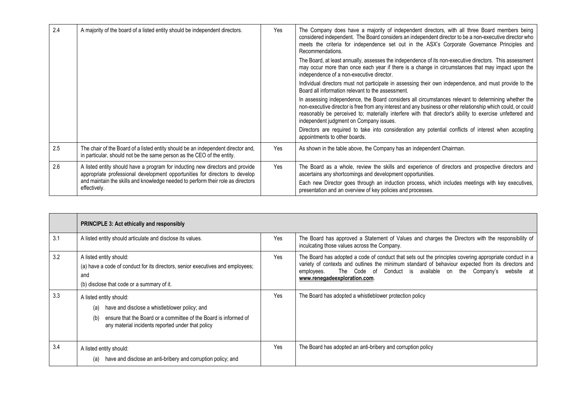| 2.4 | A majority of the board of a listed entity should be independent directors.                                                                                                                                                                                     | Yes        | The Company does have a majority of independent directors, with all three Board members being<br>considered independent. The Board considers an independent director to be a non-executive director who<br>meets the criteria for independence set out in the ASX's Corporate Governance Principles and<br>Recommendations.                                                  |
|-----|-----------------------------------------------------------------------------------------------------------------------------------------------------------------------------------------------------------------------------------------------------------------|------------|------------------------------------------------------------------------------------------------------------------------------------------------------------------------------------------------------------------------------------------------------------------------------------------------------------------------------------------------------------------------------|
|     |                                                                                                                                                                                                                                                                 |            | The Board, at least annually, assesses the independence of its non-executive directors. This assessment<br>may occur more than once each year if there is a change in circumstances that may impact upon the<br>independence of a non-executive director.                                                                                                                    |
|     |                                                                                                                                                                                                                                                                 |            | Individual directors must not participate in assessing their own independence, and must provide to the<br>Board all information relevant to the assessment.                                                                                                                                                                                                                  |
|     |                                                                                                                                                                                                                                                                 |            | In assessing independence, the Board considers all circumstances relevant to determining whether the<br>non-executive director is free from any interest and any business or other relationship which could, or could<br>reasonably be perceived to; materially interfere with that director's ability to exercise unfettered and<br>independent judgment on Company issues. |
|     |                                                                                                                                                                                                                                                                 |            | Directors are required to take into consideration any potential conflicts of interest when accepting<br>appointments to other boards.                                                                                                                                                                                                                                        |
| 2.5 | The chair of the Board of a listed entity should be an independent director and,<br>in particular, should not be the same person as the CEO of the entity.                                                                                                      | <b>Yes</b> | As shown in the table above, the Company has an independent Chairman.                                                                                                                                                                                                                                                                                                        |
| 2.6 | A listed entity should have a program for inducting new directors and provide<br>appropriate professional development opportunities for directors to develop<br>and maintain the skills and knowledge needed to perform their role as directors<br>effectively. | Yes        | The Board as a whole, review the skills and experience of directors and prospective directors and<br>ascertains any shortcomings and development opportunities.<br>Each new Director goes through an induction process, which includes meetings with key executives,<br>presentation and an overview of key policies and processes.                                          |

|     | <b>PRINCIPLE 3: Act ethically and responsibly</b>                                                                                                                                                               |            |                                                                                                                                                                                                                                                                                                                            |
|-----|-----------------------------------------------------------------------------------------------------------------------------------------------------------------------------------------------------------------|------------|----------------------------------------------------------------------------------------------------------------------------------------------------------------------------------------------------------------------------------------------------------------------------------------------------------------------------|
| 3.1 | A listed entity should articulate and disclose its values.                                                                                                                                                      | <b>Yes</b> | The Board has approved a Statement of Values and charges the Directors with the responsibility of<br>inculcating those values across the Company.                                                                                                                                                                          |
| 3.2 | A listed entity should:<br>(a) have a code of conduct for its directors, senior executives and employees;<br>and<br>(b) disclose that code or a summary of it.                                                  | <b>Yes</b> | The Board has adopted a code of conduct that sets out the principles covering appropriate conduct in a<br>variety of contexts and outlines the minimum standard of behaviour expected from its directors and<br>The Code of Conduct is available on the Company's website at<br>employees.<br>www.renegadeexploration.com. |
| 3.3 | A listed entity should:<br>have and disclose a whistleblower policy; and<br>(a)<br>ensure that the Board or a committee of the Board is informed of<br>(b)<br>any material incidents reported under that policy | Yes        | The Board has adopted a whistleblower protection policy                                                                                                                                                                                                                                                                    |
| 3.4 | A listed entity should:<br>have and disclose an anti-bribery and corruption policy; and<br>(a)                                                                                                                  | Yes        | The Board has adopted an anti-bribery and corruption policy                                                                                                                                                                                                                                                                |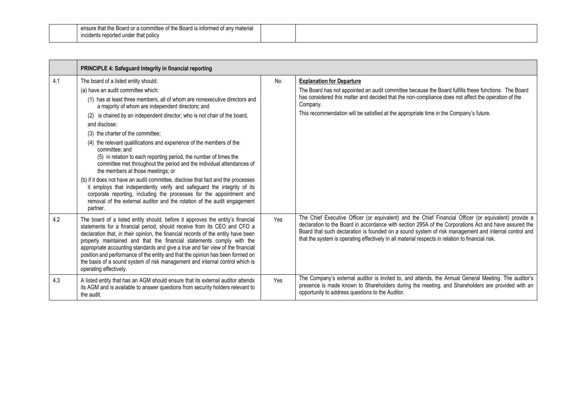| ensure that the<br>: Board or a committee<br>e Board is informed of any material<br>mittee of the |  |
|---------------------------------------------------------------------------------------------------|--|
| reported under that policy .<br><b>INCIDENTS FEDOTTO</b>                                          |  |
|                                                                                                   |  |

|     | PRINCIPLE 4: Safeguard Integrity in financial reporting                                                                                                                                                                                                                                                                                                                                                                                                                                                                                                                                                                       |     |                                                                                                                                                                                                                                                                                                                                                                                                                            |
|-----|-------------------------------------------------------------------------------------------------------------------------------------------------------------------------------------------------------------------------------------------------------------------------------------------------------------------------------------------------------------------------------------------------------------------------------------------------------------------------------------------------------------------------------------------------------------------------------------------------------------------------------|-----|----------------------------------------------------------------------------------------------------------------------------------------------------------------------------------------------------------------------------------------------------------------------------------------------------------------------------------------------------------------------------------------------------------------------------|
| 4.1 | The board of a listed entity should:<br>(a) have an audit committee which:<br>(1) has at least three members, all of whom are nonexecutive directors and<br>a majority of whom are independent directors; and<br>(2) is chaired by an independent director, who is not chair of the board,<br>and disclose:<br>(3) the charter of the committee;<br>(4) the relevant qualifications and experience of the members of the<br>committee; and<br>(5) in relation to each reporting period, the number of times the<br>committee met throughout the period and the individual attendances of<br>the members at those meetings; or | No  | <b>Explanation for Departure</b><br>The Board has not appointed an audit committee because the Board fulfills these functions. The Board<br>has considered this matter and decided that the non-compliance does not affect the operation of the<br>Company.<br>This recommendation will be satisfied at the appropriate time in the Company's future.                                                                      |
|     | (b) if it does not have an audit committee, disclose that fact and the processes<br>it employs that independently verify and safeguard the integrity of its<br>corporate reporting, including the processes for the appointment and<br>removal of the external auditor and the rotation of the audit engagement<br>partner.                                                                                                                                                                                                                                                                                                   |     |                                                                                                                                                                                                                                                                                                                                                                                                                            |
| 4.2 | The board of a listed entity should, before it approves the entity's financial<br>statements for a financial period, should receive from its CEO and CFO a<br>declaration that, in their opinion, the financial records of the entity have been<br>properly maintained and that the financial statements comply with the<br>appropriate accounting standards and give a true and fair view of the financial<br>position and performance of the entity and that the opinion has been formed on<br>the basis of a sound system of risk management and internal control which is<br>operating effectively.                       | Yes | The Chief Executive Officer (or equivalent) and the Chief Financial Officer (or equivalent) provide a<br>declaration to the Board in accordance with section 295A of the Corporations Act and have assured the<br>Board that such declaration is founded on a sound system of risk management and internal control and<br>that the system is operating effectively in all material respects in relation to financial risk. |
| 4.3 | A listed entity that has an AGM should ensure that its external auditor attends<br>its AGM and is available to answer questions from security holders relevant to<br>the audit.                                                                                                                                                                                                                                                                                                                                                                                                                                               | Yes | The Company's external auditor is invited to, and attends, the Annual General Meeting. The auditor's<br>presence is made known to Shareholders during the meeting, and Shareholders are provided with an<br>opportunity to address questions to the Auditor.                                                                                                                                                               |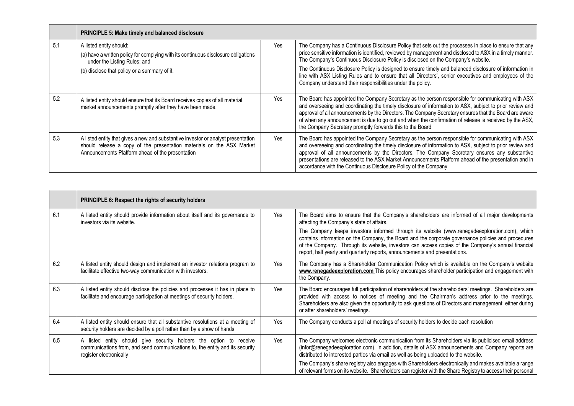|     | <b>PRINCIPLE 5: Make timely and balanced disclosure</b>                                                                                                                                                        |     |                                                                                                                                                                                                                                                                                                                                                                                                                                                                                                 |
|-----|----------------------------------------------------------------------------------------------------------------------------------------------------------------------------------------------------------------|-----|-------------------------------------------------------------------------------------------------------------------------------------------------------------------------------------------------------------------------------------------------------------------------------------------------------------------------------------------------------------------------------------------------------------------------------------------------------------------------------------------------|
| 5.1 | A listed entity should:<br>(a) have a written policy for complying with its continuous disclosure obligations<br>under the Listing Rules; and                                                                  | Yes | The Company has a Continuous Disclosure Policy that sets out the processes in place to ensure that any<br>price sensitive information is identified, reviewed by management and disclosed to ASX in a timely manner.<br>The Company's Continuous Disclosure Policy is disclosed on the Company's website.                                                                                                                                                                                       |
|     | (b) disclose that policy or a summary of it.                                                                                                                                                                   |     | The Continuous Disclosure Policy is designed to ensure timely and balanced disclosure of information in<br>line with ASX Listing Rules and to ensure that all Directors', senior executives and employees of the<br>Company understand their responsibilities under the policy.                                                                                                                                                                                                                 |
| 5.2 | A listed entity should ensure that its Board receives copies of all material<br>market announcements promptly after they have been made.                                                                       | Yes | The Board has appointed the Company Secretary as the person responsible for communicating with ASX<br>and overseeing and coordinating the timely disclosure of information to ASX, subject to prior review and<br>approval of all announcements by the Directors. The Company Secretary ensures that the Board are aware<br>of when any announcement is due to go out and when the confirmation of release is received by the ASX,<br>the Company Secretary promptly forwards this to the Board |
| 5.3 | A listed entity that gives a new and substantive investor or analyst presentation<br>should release a copy of the presentation materials on the ASX Market<br>Announcements Platform ahead of the presentation | Yes | The Board has appointed the Company Secretary as the person responsible for communicating with ASX<br>and overseeing and coordinating the timely disclosure of information to ASX, subject to prior review and<br>approval of all announcements by the Directors. The Company Secretary ensures any substantive<br>presentations are released to the ASX Market Announcements Platform ahead of the presentation and in<br>accordance with the Continuous Disclosure Policy of the Company      |

|     | <b>PRINCIPLE 6: Respect the rights of security holders</b>                                                                                                                    |            |                                                                                                                                                                                                                                                                                                                                                                                           |
|-----|-------------------------------------------------------------------------------------------------------------------------------------------------------------------------------|------------|-------------------------------------------------------------------------------------------------------------------------------------------------------------------------------------------------------------------------------------------------------------------------------------------------------------------------------------------------------------------------------------------|
| 6.1 | A listed entity should provide information about itself and its governance to<br>investors via its website.                                                                   | Yes        | The Board aims to ensure that the Company's shareholders are informed of all major developments<br>affecting the Company's state of affairs.                                                                                                                                                                                                                                              |
|     |                                                                                                                                                                               |            | The Company keeps investors informed through its website (www.renegadeexploration.com), which<br>contains information on the Company, the Board and the corporate governance policies and procedures<br>of the Company. Through its website, investors can access copies of the Company's annual financial<br>report, half yearly and quarterly reports, announcements and presentations. |
| 6.2 | A listed entity should design and implement an investor relations program to<br>facilitate effective two-way communication with investors.                                    | <b>Yes</b> | The Company has a Shareholder Communication Policy which is available on the Company's website<br>www.renegadeexploration.com This policy encourages shareholder participation and engagement with<br>the Company.                                                                                                                                                                        |
| 6.3 | A listed entity should disclose the policies and processes it has in place to<br>facilitate and encourage participation at meetings of security holders.                      | <b>Yes</b> | The Board encourages full participation of shareholders at the shareholders' meetings. Shareholders are<br>provided with access to notices of meeting and the Chairman's address prior to the meetings.<br>Shareholders are also given the opportunity to ask questions of Directors and management, either during<br>or after shareholders' meetings.                                    |
| 6.4 | A listed entity should ensure that all substantive resolutions at a meeting of<br>security holders are decided by a poll rather than by a show of hands                       | Yes        | The Company conducts a poll at meetings of security holders to decide each resolution                                                                                                                                                                                                                                                                                                     |
| 6.5 | A listed entity should give security holders the option to receive<br>communications from, and send communications to, the entity and its security<br>register electronically | Yes        | The Company welcomes electronic communication from its Shareholders via its publicised email address<br>(infor@renegadeexploration.com). In addition, details of ASX announcements and Company reports are<br>distributed to interested parties via email as well as being uploaded to the website.                                                                                       |
|     |                                                                                                                                                                               |            | The Company's share registry also engages with Shareholders electronically and makes available a range<br>of relevant forms on its website. Shareholders can register with the Share Registry to access their personal                                                                                                                                                                    |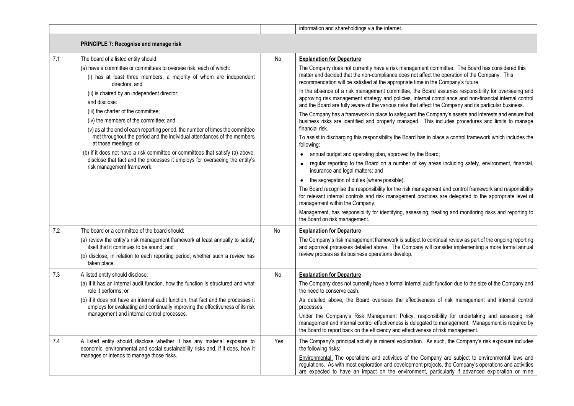|     |                                                                                                                                                                                                                                                                                                                                                                                                                                                                                                                                                                                                                                                                                                                                         |     | information and shareholdings via the internet.                                                                                                                                                                                                                                                                                                                                                                                                                                                                                                                                                                                                                                                                                                                                                                                                                                                                                                                                                                                                                                                                                                                                                                                                                                                                                                                                                                                                                                                                                                                                                                                                                                               |
|-----|-----------------------------------------------------------------------------------------------------------------------------------------------------------------------------------------------------------------------------------------------------------------------------------------------------------------------------------------------------------------------------------------------------------------------------------------------------------------------------------------------------------------------------------------------------------------------------------------------------------------------------------------------------------------------------------------------------------------------------------------|-----|-----------------------------------------------------------------------------------------------------------------------------------------------------------------------------------------------------------------------------------------------------------------------------------------------------------------------------------------------------------------------------------------------------------------------------------------------------------------------------------------------------------------------------------------------------------------------------------------------------------------------------------------------------------------------------------------------------------------------------------------------------------------------------------------------------------------------------------------------------------------------------------------------------------------------------------------------------------------------------------------------------------------------------------------------------------------------------------------------------------------------------------------------------------------------------------------------------------------------------------------------------------------------------------------------------------------------------------------------------------------------------------------------------------------------------------------------------------------------------------------------------------------------------------------------------------------------------------------------------------------------------------------------------------------------------------------------|
|     | PRINCIPLE 7: Recognise and manage risk                                                                                                                                                                                                                                                                                                                                                                                                                                                                                                                                                                                                                                                                                                  |     |                                                                                                                                                                                                                                                                                                                                                                                                                                                                                                                                                                                                                                                                                                                                                                                                                                                                                                                                                                                                                                                                                                                                                                                                                                                                                                                                                                                                                                                                                                                                                                                                                                                                                               |
| 7.1 | The board of a listed entity should:<br>(a) have a committee or committees to oversee risk, each of which:<br>(i) has at least three members, a majority of whom are independent<br>directors: and<br>(ii) is chaired by an independent director;<br>and disclose:<br>(iii) the charter of the committee;<br>(iv) the members of the committee; and<br>(v) as at the end of each reporting period, the number of times the committee<br>met throughout the period and the individual attendances of the members<br>at those meetings; or<br>(b) if it does not have a risk committee or committees that satisfy (a) above,<br>disclose that fact and the processes it employs for overseeing the entity's<br>risk management framework. | No  | <b>Explanation for Departure</b><br>The Company does not currently have a risk management committee. The Board has considered this<br>matter and decided that the non-compliance does not affect the operation of the Company. This<br>recommendation will be satisfied at the appropriate time in the Company's future.<br>In the absence of a risk management committee, the Board assumes responsibility for overseeing and<br>approving risk management strategy and policies, internal compliance and non-financial internal control<br>and the Board are fully aware of the various risks that affect the Company and its particular business.<br>The Company has a framework in place to safeguard the Company's assets and interests and ensure that<br>business risks are identified and properly managed. This includes procedures and limits to manage<br>financial risk.<br>To assist in discharging this responsibility the Board has in place a control framework which includes the<br>following:<br>• annual budget and operating plan, approved by the Board;<br>regular reporting to the Board on a number of key areas including safety, environment, financial,<br>$\bullet$<br>insurance and legal matters; and<br>the segregation of duties (where possible).<br>٠<br>The Board recognise the responsibility for the risk management and control framework and responsibility<br>for relevant internal controls and risk management practices are delegated to the appropriate level of<br>management within the Company.<br>Management, has responsibility for identifying, assessing, treating and monitoring risks and reporting to<br>the Board on risk management. |
| 7.2 | The board or a committee of the board should:<br>(a) review the entity's risk management framework at least annually to satisfy<br>itself that it continues to be sound; and<br>(b) disclose, in relation to each reporting period, whether such a review has<br>taken place.                                                                                                                                                                                                                                                                                                                                                                                                                                                           | No  | <b>Explanation for Departure</b><br>The Company's risk management framework is subject to continual review as part of the ongoing reporting<br>and approval processes detailed above. The Company will consider implementing a more formal annual<br>review process as its business operations develop.                                                                                                                                                                                                                                                                                                                                                                                                                                                                                                                                                                                                                                                                                                                                                                                                                                                                                                                                                                                                                                                                                                                                                                                                                                                                                                                                                                                       |
| 7.3 | A listed entity should disclose:<br>(a) if it has an internal audit function, how the function is structured and what<br>role it performs; or<br>(b) if it does not have an internal audit function, that fact and the processes it<br>employs for evaluating and continually improving the effectiveness of its risk<br>management and internal control processes.                                                                                                                                                                                                                                                                                                                                                                     | No  | <b>Explanation for Departure</b><br>The Company does not currently have a formal internal audit function due to the size of the Company and<br>the need to conserve cash.<br>As detailed above, the Board oversees the effectiveness of risk management and internal control<br>processes.<br>Under the Company's Risk Management Policy, responsibility for undertaking and assessing risk<br>management and internal control effectiveness is delegated to management. Management is required by<br>the Board to report back on the efficiency and effectiveness of risk management.                                                                                                                                                                                                                                                                                                                                                                                                                                                                                                                                                                                                                                                                                                                                                                                                                                                                                                                                                                                                                                                                                                        |
| 7.4 | A listed entity should disclose whether it has any material exposure to<br>economic, environmental and social sustainability risks and, if it does, how it<br>manages or intends to manage those risks.                                                                                                                                                                                                                                                                                                                                                                                                                                                                                                                                 | Yes | The Company's principal activity is mineral exploration. As such, the Company's risk exposure includes<br>the following risks:<br>Environmental: The operations and activities of the Company are subject to environmental laws and<br>regulations. As with most exploration and development projects, the Company's operations and activities<br>are expected to have an impact on the environment, particularly if advanced exploration or mine                                                                                                                                                                                                                                                                                                                                                                                                                                                                                                                                                                                                                                                                                                                                                                                                                                                                                                                                                                                                                                                                                                                                                                                                                                             |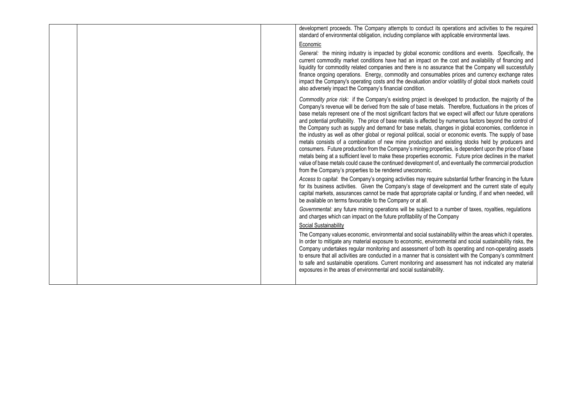|  | development proceeds. The Company attempts to conduct its operations and activities to the required<br>standard of environmental obligation, including compliance with applicable environmental laws.                                                                                                                                                                                                                                                                                                                                                                                                                                                                                                                                                                                                                                                                                                                                                                                                                                                                                                                                                                 |
|--|-----------------------------------------------------------------------------------------------------------------------------------------------------------------------------------------------------------------------------------------------------------------------------------------------------------------------------------------------------------------------------------------------------------------------------------------------------------------------------------------------------------------------------------------------------------------------------------------------------------------------------------------------------------------------------------------------------------------------------------------------------------------------------------------------------------------------------------------------------------------------------------------------------------------------------------------------------------------------------------------------------------------------------------------------------------------------------------------------------------------------------------------------------------------------|
|  | Economic                                                                                                                                                                                                                                                                                                                                                                                                                                                                                                                                                                                                                                                                                                                                                                                                                                                                                                                                                                                                                                                                                                                                                              |
|  | General: the mining industry is impacted by global economic conditions and events. Specifically, the<br>current commodity market conditions have had an impact on the cost and availability of financing and<br>liquidity for commodity related companies and there is no assurance that the Company will successfully<br>finance ongoing operations. Energy, commodity and consumables prices and currency exchange rates<br>impact the Company's operating costs and the devaluation and/or volatility of global stock markets could<br>also adversely impact the Company's financial condition.                                                                                                                                                                                                                                                                                                                                                                                                                                                                                                                                                                    |
|  | Commodity price risk: if the Company's existing project is developed to production, the majority of the<br>Company's revenue will be derived from the sale of base metals. Therefore, fluctuations in the prices of<br>base metals represent one of the most significant factors that we expect will affect our future operations<br>and potential profitability. The price of base metals is affected by numerous factors beyond the control of<br>the Company such as supply and demand for base metals, changes in global economies, confidence in<br>the industry as well as other global or regional political, social or economic events. The supply of base<br>metals consists of a combination of new mine production and existing stocks held by producers and<br>consumers. Future production from the Company's mining properties, is dependent upon the price of base<br>metals being at a sufficient level to make these properties economic. Future price declines in the market<br>value of base metals could cause the continued development of, and eventually the commercial production<br>from the Company's properties to be rendered uneconomic. |
|  | Access to capital: the Company's ongoing activities may require substantial further financing in the future<br>for its business activities. Given the Company's stage of development and the current state of equity<br>capital markets, assurances cannot be made that appropriate capital or funding, if and when needed, will<br>be available on terms favourable to the Company or at all.                                                                                                                                                                                                                                                                                                                                                                                                                                                                                                                                                                                                                                                                                                                                                                        |
|  | Governmental: any future mining operations will be subject to a number of taxes, royalties, regulations<br>and charges which can impact on the future profitability of the Company                                                                                                                                                                                                                                                                                                                                                                                                                                                                                                                                                                                                                                                                                                                                                                                                                                                                                                                                                                                    |
|  | Social Sustainability                                                                                                                                                                                                                                                                                                                                                                                                                                                                                                                                                                                                                                                                                                                                                                                                                                                                                                                                                                                                                                                                                                                                                 |
|  | The Company values economic, environmental and social sustainability within the areas which it operates.<br>In order to mitigate any material exposure to economic, environmental and social sustainability risks, the<br>Company undertakes regular monitoring and assessment of both its operating and non-operating assets<br>to ensure that all activities are conducted in a manner that is consistent with the Company's commitment<br>to safe and sustainable operations. Current monitoring and assessment has not indicated any material<br>exposures in the areas of environmental and social sustainability.                                                                                                                                                                                                                                                                                                                                                                                                                                                                                                                                               |
|  |                                                                                                                                                                                                                                                                                                                                                                                                                                                                                                                                                                                                                                                                                                                                                                                                                                                                                                                                                                                                                                                                                                                                                                       |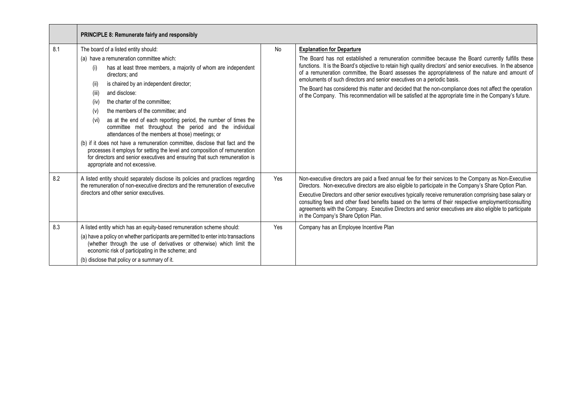|     | <b>PRINCIPLE 8: Remunerate fairly and responsibly</b>                                                                                                                                                                                                                                                                                                                                                                                                                                                                                                                                                                                                                                                                                                                                                                |     |                                                                                                                                                                                                                                                                                                                                                                                                                                                                                                                                                                                                                                                           |  |  |
|-----|----------------------------------------------------------------------------------------------------------------------------------------------------------------------------------------------------------------------------------------------------------------------------------------------------------------------------------------------------------------------------------------------------------------------------------------------------------------------------------------------------------------------------------------------------------------------------------------------------------------------------------------------------------------------------------------------------------------------------------------------------------------------------------------------------------------------|-----|-----------------------------------------------------------------------------------------------------------------------------------------------------------------------------------------------------------------------------------------------------------------------------------------------------------------------------------------------------------------------------------------------------------------------------------------------------------------------------------------------------------------------------------------------------------------------------------------------------------------------------------------------------------|--|--|
| 8.1 | The board of a listed entity should:<br>(a) have a remuneration committee which:<br>has at least three members, a majority of whom are independent<br>(i)<br>directors; and<br>is chaired by an independent director;<br>(ii)<br>and disclose:<br>(iii)<br>the charter of the committee;<br>(iv)<br>the members of the committee; and<br>(v)<br>as at the end of each reporting period, the number of times the<br>(vi)<br>committee met throughout the period and the individual<br>attendances of the members at those) meetings; or<br>(b) if it does not have a remuneration committee, disclose that fact and the<br>processes it employs for setting the level and composition of remuneration<br>for directors and senior executives and ensuring that such remuneration is<br>appropriate and not excessive. | No  | <b>Explanation for Departure</b><br>The Board has not established a remuneration committee because the Board currently fulfills these<br>functions. It is the Board's objective to retain high quality directors' and senior executives. In the absence<br>of a remuneration committee, the Board assesses the appropriateness of the nature and amount of<br>emoluments of such directors and senior executives on a periodic basis.<br>The Board has considered this matter and decided that the non-compliance does not affect the operation<br>of the Company. This recommendation will be satisfied at the appropriate time in the Company's future. |  |  |
| 8.2 | A listed entity should separately disclose its policies and practices regarding<br>the remuneration of non-executive directors and the remuneration of executive<br>directors and other senior executives.                                                                                                                                                                                                                                                                                                                                                                                                                                                                                                                                                                                                           | Yes | Non-executive directors are paid a fixed annual fee for their services to the Company as Non-Executive<br>Directors. Non-executive directors are also eligible to participate in the Company's Share Option Plan.<br>Executive Directors and other senior executives typically receive remuneration comprising base salary or<br>consulting fees and other fixed benefits based on the terms of their respective employment/consulting<br>agreements with the Company. Executive Directors and senior executives are also eligible to participate<br>in the Company's Share Option Plan.                                                                  |  |  |
| 8.3 | A listed entity which has an equity-based remuneration scheme should:<br>(a) have a policy on whether participants are permitted to enter into transactions<br>(whether through the use of derivatives or otherwise) which limit the<br>economic risk of participating in the scheme; and<br>(b) disclose that policy or a summary of it.                                                                                                                                                                                                                                                                                                                                                                                                                                                                            | Yes | Company has an Employee Incentive Plan                                                                                                                                                                                                                                                                                                                                                                                                                                                                                                                                                                                                                    |  |  |